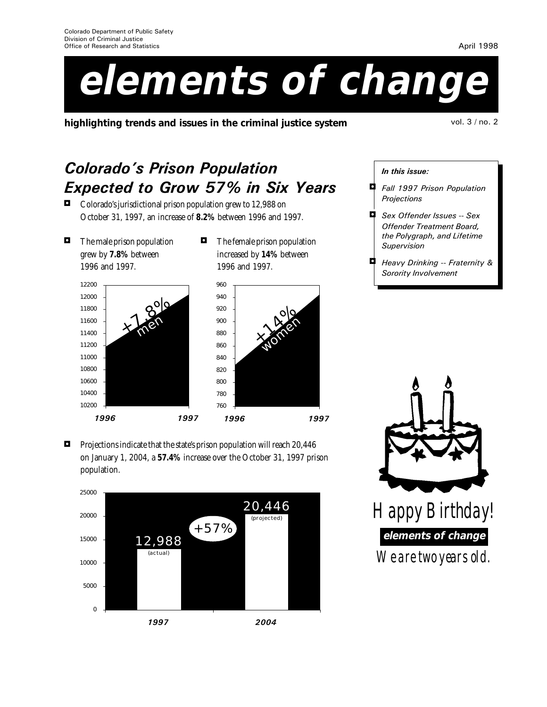# **elements of change**

**highlighting trends and issues in the criminal justice system** vol. 3 / no. 2

April 1998

## **Colorado's Prison Population** Expected to Grow 57% in Six Years

 $\blacksquare$  Colorado's jurisdictional prison population grew to 12,988 on October 31, 1997, an increase of **8.2%** between 1996 and 1997.

- $\blacksquare$  The male prison population grew by **7.8%** between 1996 and 1997.
- $\blacksquare$  The female prison population increased by **14%** between 1996 and 1997.





 $\blacksquare$  Projections indicate that the state's prison population will reach 20,446 on January 1, 2004, a **57.4%** increase over the October 31, 1997 prison population.



In this issue:

- **4** Fall 1997 Prison Population **Projections**
- **4** Sex Offender Issues -- Sex Offender Treatment Board, the Polygraph, and Lifetime Supervision
- **4** Heavy Drinking -- Fraternity & Sorority Involvement

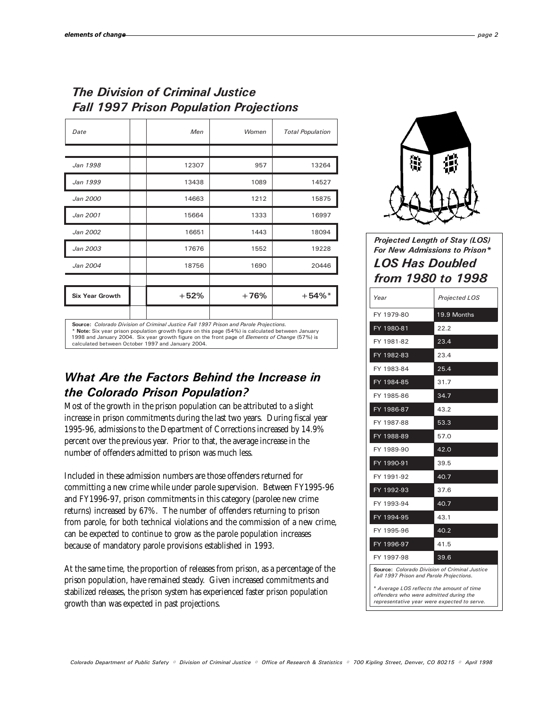## The Division of Criminal Justice Fall 1997 Prison Population Projections

| Date                                                                                                                                                                                                                                                                                                                                                      | Men    | Women  | <b>Total Population</b> |
|-----------------------------------------------------------------------------------------------------------------------------------------------------------------------------------------------------------------------------------------------------------------------------------------------------------------------------------------------------------|--------|--------|-------------------------|
|                                                                                                                                                                                                                                                                                                                                                           |        |        |                         |
| Jan 1998                                                                                                                                                                                                                                                                                                                                                  | 12307  | 957    | 13264                   |
| Jan 1999                                                                                                                                                                                                                                                                                                                                                  | 13438  | 1089   | 14527                   |
| Jan 2000                                                                                                                                                                                                                                                                                                                                                  | 14663  | 1212   | 15875                   |
| Jan 2001                                                                                                                                                                                                                                                                                                                                                  | 15664  | 1333   | 16997                   |
| Jan 2002                                                                                                                                                                                                                                                                                                                                                  | 16651  | 1443   | 18094                   |
| Jan 2003                                                                                                                                                                                                                                                                                                                                                  | 17676  | 1552   | 19228                   |
| Jan 2004                                                                                                                                                                                                                                                                                                                                                  | 18756  | 1690   | 20446                   |
|                                                                                                                                                                                                                                                                                                                                                           |        |        |                         |
| <b>Six Year Growth</b>                                                                                                                                                                                                                                                                                                                                    | $+52%$ | $+76%$ | $+54\%$ <sup>*</sup>    |
|                                                                                                                                                                                                                                                                                                                                                           |        |        |                         |
| Source: Colorado Division of Criminal Justice Fall 1997 Prison and Parole Projections.<br>* Note: Six year prison population growth figure on this page (54%) is calculated between January<br>1998 and January 2004. Six year growth figure on the front page of <i>Elements of Change</i> (57%) is<br>calculated between October 1997 and January 2004. |        |        |                         |

## What Are the Factors Behind the Increase in the Colorado Prison Population?

Most of the growth in the prison population can be attributed to a slight increase in prison commitments during the last two years. During fiscal year 1995-96, admissions to the Department of Corrections increased by 14.9% percent over the previous year. Prior to that, the average increase in the number of offenders admitted to prison was much less.

Included in these admission numbers are those offenders returned for committing a new crime while under parole supervision. Between FY1995-96 and FY1996-97, prison commitments in this category (parolee new crime returns) increased by 67%. The number of offenders returning to prison from parole, for both technical violations and the commission of a new crime, can be expected to continue to grow as the parole population increases because of mandatory parole provisions established in 1993.

At the same time, the proportion of releases from prison, as a percentage of the prison population, have remained steady. Given increased commitments and stabilized releases, the prison system has experienced faster prison population growth than was expected in past projections.



Projected Length of Stay (LOS) For New Admissions to Prison\*

| <i><b>LOS Has Doubled</b></i><br>from 1980 to 1998   |               |  |  |
|------------------------------------------------------|---------------|--|--|
| Year                                                 | Projected LOS |  |  |
| FY 1979-80                                           | 19.9 Months   |  |  |
| FY 1980-81                                           | 22.2          |  |  |
| FY 1981-82                                           | 23.4          |  |  |
| FY 1982-83                                           | 23.4          |  |  |
| FY 1983-84                                           | 25.4          |  |  |
| FY 1984-85                                           | 31.7          |  |  |
| FY 1985-86                                           | 34.7          |  |  |
| FY 1986-87                                           | 43.2          |  |  |
| FY 1987-88                                           | 53.3          |  |  |
| FY 1988-89                                           | 57.0          |  |  |
| FY 1989-90                                           | 42.0          |  |  |
| FY 1990-91                                           | 39.5          |  |  |
| FY 1991-92                                           | 40.7          |  |  |
| FY 1992-93                                           | 37.6          |  |  |
| FY 1993-94                                           | 40.7          |  |  |
| FY 1994-95                                           | 43.1          |  |  |
| FY 1995-96                                           | 40.2          |  |  |
| FY 1996-97                                           | 41.5          |  |  |
| FY 1997-98                                           | 39.6          |  |  |
| <b>Source:</b> Colorado Division of Criminal Justice |               |  |  |

Source: Colorado Division of Criminal Justice Fall 1997 Prison and Parole Projections.

\* Average LOS reflects the amount of time offenders who were admitted during the representative year were expected to serve.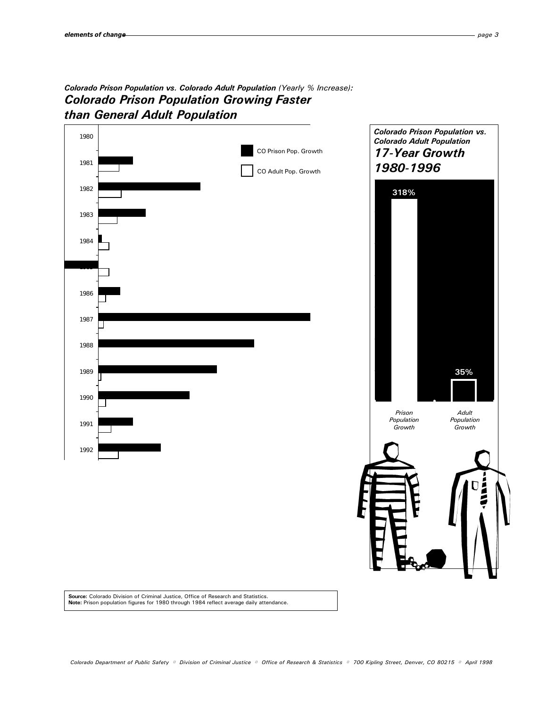## Colorado Prison Population vs. Colorado Adult Population (Yearly % Increase): Colorado Prison Population Growing Faster than General Adult Population



**Source:** Colorado Division of Criminal Justice, Office of Research and Statistics.<br>**Note:** Prison population figures for 1980 through 1984 reflect average daily attendance.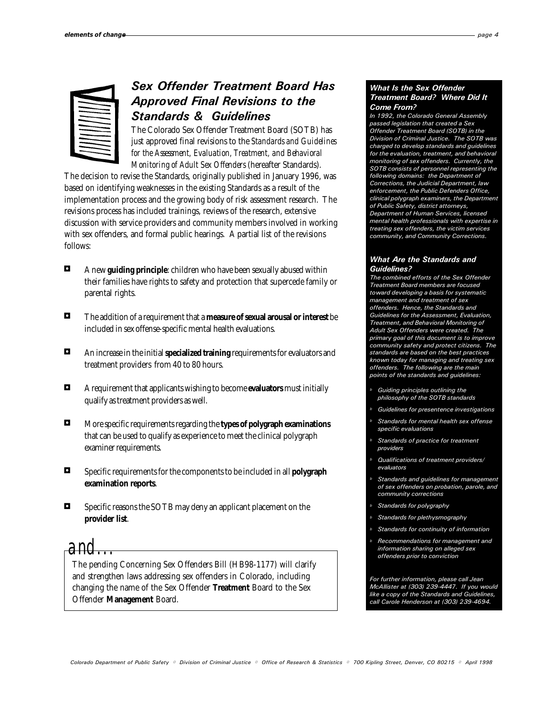| ---<br>-                                             |
|------------------------------------------------------|
| $\overline{\phantom{iiiiiiiiiiiii}}$<br>––<br>-<br>- |
| -<br>--<br>--<br>––<br>--                            |
| ––<br>–<br>---<br>—<br>---<br>––<br>۰.               |
|                                                      |

## Sex Offender Treatment Board Has Approved Final Revisions to the Standards & Guidelines

The Colorado Sex Offender Treatment Board (SOTB) has just approved final revisions to the *Standards and Guidelines for the Assessment, Evaluation, Treatment, and Behavioral Monitoring of Adult Sex Offenders* (hereafter Standards).

The decision to revise the Standards, originally published in January 1996, was based on identifying weaknesses in the existing Standards as a result of the implementation process and the growing body of risk assessment research. The revisions process has included trainings, reviews of the research, extensive discussion with service providers and community members involved in working with sex offenders, and formal public hearings. A partial list of the revisions follows:

- 3 A new **guiding principle**: children who have been sexually abused within their families have rights to safety and protection that supercede family or parental rights*.*
- 3 The addition of a requirement that a **measure of sexual arousal or interest** be included in sex offense-specific mental health evaluations.
- 3 An increase in the initial **specialized training** requirements for evaluators and treatment providers from 40 to 80 hours.
- 3 A requirement that applicants wishing to become **evaluators** must initially qualify as treatment providers as well.
- 3 More specific requirements regarding the **types of polygraph examinations** that can be used to qualify as experience to meet the clinical polygraph examiner requirements.
- 3 Specific requirements for the components to be included in all **polygraph examination reports**.
- $\blacksquare$  Specific reasons the SOTB may deny an applicant placement on the **provider list**.

*and...*

The pending Concerning Sex Offenders Bill (HB98-1177) will clarify and strengthen laws addressing sex offenders in Colorado, including changing the name of the Sex Offender **Treatment** Board to the Sex Offender **Management** Board.

#### What Is the Sex Offender Treatment Board? Where Did It Come From?

In 1992, the Colorado General Assembly passed legislation that created a Sex Offender Treatment Board (SOTB) in the Division of Criminal Justice. The SOTB was charged to develop standards and guidelines for the evaluation, treatment, and behavioral monitoring of sex offenders. Currently, the SOTB consists of personnel representing the following domains: the Department of Corrections, the Judicial Department, law enforcement, the Public Defenders Office, clinical polygraph examiners, the Department of Public Safety, district attorneys, Department of Human Services, licensed mental health professionals with expertise in treating sex offenders, the victim services community, and Community Corrections.

#### What Are the Standards and Guidelines?

The combined efforts of the Sex Offender Treatment Board members are focused toward developing a basis for systematic management and treatment of sex offenders. Hence, the Standards and Guidelines for the Assessment, Evaluation, Treatment, and Behavioral Monitoring of Adult Sex Offenders were created. The primary goal of this document is to improve community safety and protect citizens. The standards are based on the best practices known today for managing and treating sex offenders. The following are the main points of the standards and guidelines:

- Guiding principles outlining the philosophy of the SOTB standards
- Guidelines for presentence investigations
- Standards for mental health sex offense specific evaluations
- Standards of practice for treatment providers
- Qualifications of treatment providers/ evaluators
- Standards and guidelines for management of sex offenders on probation, parole, and community corrections
- Standards for polygraphy
- Standards for plethysmography
- Standards for continuity of information
- Recommendations for management and information sharing on alleged sex offenders prior to conviction

For further information, please call Jean McAllister at (303) 239-4447. If you would like a copy of the Standards and Guidelines, call Carole Henderson at (303) 239-4694.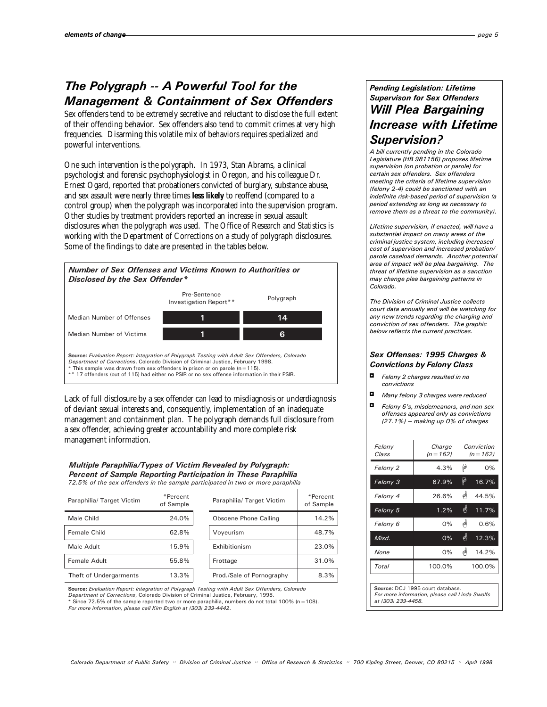## The Polygraph -- A Powerful Tool for the Management & Containment of Sex Offenders

Sex offenders tend to be extremely secretive and reluctant to disclose the full extent of their offending behavior. Sex offenders also tend to commit crimes at very high frequencies. Disarming this volatile mix of behaviors requires specialized and powerful interventions.

One such intervention is the polygraph. In 1973, Stan Abrams, a clinical psychologist and forensic psychophysiologist in Oregon, and his colleague Dr. Ernest Ogard, reported that probationers convicted of burglary, substance abuse, and sex assault were nearly three times **less likely** to reoffend (compared to a control group) when the polygraph was incorporated into the supervision program. Other studies by treatment providers reported an increase in sexual assault disclosures when the polygraph was used. The Office of Research and Statistics is working with the Department of Corrections on a study of polygraph disclosures. Some of the findings to date are presented in the tables below.



Lack of full disclosure by a sex offender can lead to misdiagnosis or underdiagnosis of deviant sexual interests and, consequently, implementation of an inadequate management and containment plan. The polygraph demands full disclosure from a sex offender, achieving greater accountability and more complete risk management information.

#### Multiple Paraphilia/Types of Victim Revealed by Polygraph: Percent of Sample Reporting Participation in These Paraphilia

72.5% of the sex offenders in the sample participated in two or more paraphilia

| Paraphilia/ Target Victim | *Percent<br>of Sample | Paraphilia/ Target Victim | *Percent<br>of Sample |
|---------------------------|-----------------------|---------------------------|-----------------------|
| Male Child                | 24.0%                 | Obscene Phone Calling     | 14.2%                 |
| Female Child              | 62.8%                 | Voyeurism                 | 48.7%                 |
| Male Adult                | 15.9%                 | Exhibitionism             | 23.0%                 |
| Female Adult              | 55.8%                 | Frottage                  | 31.0%                 |
| Theft of Undergarments    | 13.3%                 | Prod./Sale of Pornography | 8.3%                  |

| *Percent<br>of Sample | Paraphilia/ Target Victim | *Percent<br>of Sample |
|-----------------------|---------------------------|-----------------------|
| 24.0%                 | Obscene Phone Calling     | 14.2%                 |
| 62.8%                 | Voyeurism                 | 48.7%                 |
| 15.9%                 | Exhibitionism             | 23.0%                 |
| 55.8%                 | Frottage                  | 31.0%                 |
| 13.3%                 | Prod./Sale of Pornography | 8.3%                  |

Source: Evaluation Report: Integration of Polygraph Testing with Adult Sex Offenders, Colorado

Department of Corrections, Colorado Division of Criminal Justice, February, 1998. \* Since 72.5% of the sample reported two or more paraphilia, numbers do not total 100% (n=108).

For more information, please call Kim English at (303) 239-4442.

### Pending Legislation: Lifetime Supervison for Sex Offenders Will Plea Bargaining Increase with Lifetime Supervision?

A bill currently pending in the Colorado Legislature (HB 981156) proposes lifetime supervision (on probation or parole) for certain sex offenders. Sex offenders meeting the criteria of lifetime supervision (felony 2-4) could be sanctioned with an indefinite risk-based period of supervision (a period extending as long as necessary to remove them as a threat to the community).

Lifetime supervision, if enacted, will have a substantial impact on many areas of the criminal justice system, including increased cost of supervison and increased probation/ parole caseload demands. Another potential area of impact will be plea bargaining. The threat of lifetime supervision as a sanction may change plea bargaining patterns in Colorado.

The Division of Criminal Justice collects court data annually and will be watching for any new trends regarding the charging and conviction of sex offenders. The graphic below reflects the current practices.

#### Sex Offenses: 1995 Charges & Convictions by Felony Class

- Felony 2 charges resulted in no convictions
- $\blacksquare$  Many felony 3 charges were reduced
- $\Box$  Felony 6's misdemeanors, and non-sex offenses appeared only as convictions (27.1%) -- making up 0% of charges

| Felony<br>Class                                                                                          | Charge<br>$(n = 162)$ |           | Conviction<br>$(n = 162)$ |
|----------------------------------------------------------------------------------------------------------|-----------------------|-----------|---------------------------|
| Felony 2                                                                                                 | 4.3%                  | φ         | 0%                        |
| Felony 3                                                                                                 | 67.9%                 | $\varphi$ | 16.7%                     |
| Felony 4                                                                                                 | 26.6%                 | 빼         | 44.5%                     |
| Felony 5                                                                                                 | 1.2%                  | 喇         | 11.7%                     |
| Felony 6                                                                                                 | $0\%$                 | 喇         | 0.6%                      |
| Misd.                                                                                                    | 0%                    | 喇         | 12.3%                     |
| None                                                                                                     | $0\%$                 | 빠         | 14.2%                     |
| Total                                                                                                    | 100.0%                |           | 100.0%                    |
|                                                                                                          |                       |           |                           |
| Source: DCJ 1995 court database.<br>For more information, please call Linda Swolfs<br>at (303) 239-4458. |                       |           |                           |